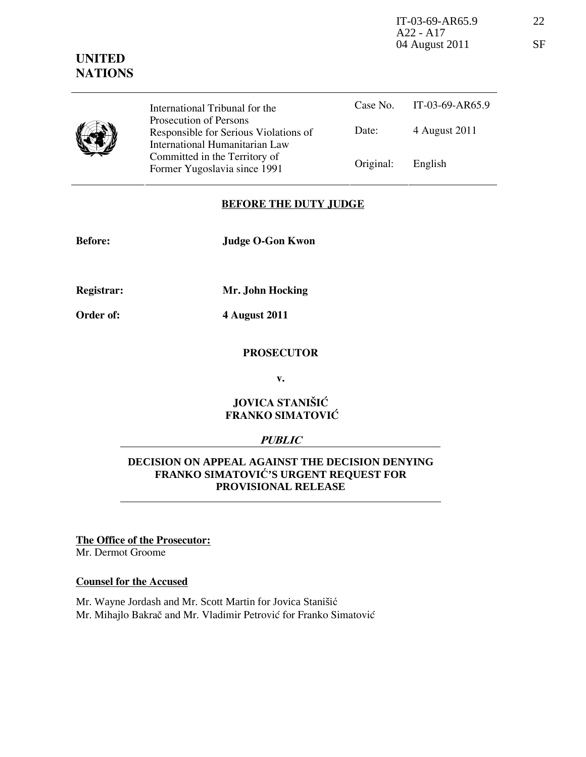IT-03-69-AR65.9 22 A22 - A17 04 August 2011 SF

# UNITED **NATIONS**

|  | International Tribunal for the                                                                    |           | Case No. IT-03-69-AR65.9 |
|--|---------------------------------------------------------------------------------------------------|-----------|--------------------------|
|  | Prosecution of Persons<br>Responsible for Serious Violations of<br>International Humanitarian Law | Date:     | 4 August 2011            |
|  | Committed in the Territory of<br>Former Yugoslavia since 1991                                     | Original: | English                  |

# BEFORE THE DUTY JUDGE

Before: Judge O-Gon Kwon

Registrar:

Mr. John Hocking

Order of:

4 August 2011

#### **PROSECUTOR**

v.

# JOVICA STANIŠIĆ FRANKO SIMATOVIĆ

### PUBLIC

# **DECISION ON APPEAL AGAINST THE DECISION DENYING FRANKO SIMATOVI**Ć**'S URGENT REQUEST FOR PROVISIONAL RELEASE**

The Office of the Prosecutor: Mr. Dermot Groome

Counsel for the Accused

Mr. Wayne Jordash and Mr. Scott Martin for Jovica Stanišić Mr. Mihajlo Bakrač and Mr. Vladimir Petrović for Franko Simatović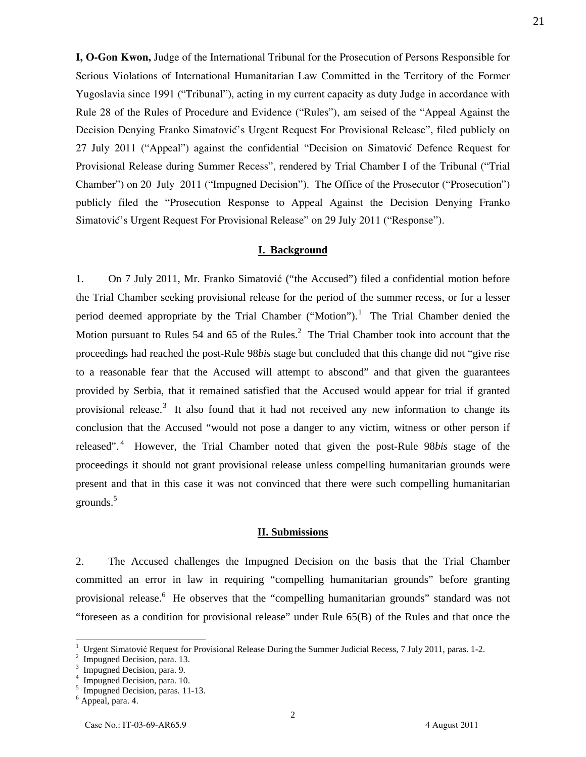**I, O-Gon Kwon,** Judge of the International Tribunal for the Prosecution of Persons Responsible for Serious Violations of International Humanitarian Law Committed in the Territory of the Former Yugoslavia since 1991 ("Tribunal"), acting in my current capacity as duty Judge in accordance with Rule 28 of the Rules of Procedure and Evidence ("Rules"), am seised of the "Appeal Against the Decision Denying Franko Simatović's Urgent Request For Provisional Release", filed publicly on 27 July 2011 ("Appeal") against the confidential "Decision on Simatović Defence Request for Provisional Release during Summer Recess", rendered by Trial Chamber I of the Tribunal ("Trial Chamber") on 20 July 2011 ("Impugned Decision"). The Office of the Prosecutor ("Prosecution") publicly filed the "Prosecution Response to Appeal Against the Decision Denying Franko Simatović's Urgent Request For Provisional Release" on 29 July 2011 ("Response").

#### **I. Background**

1. On 7 July 2011, Mr. Franko Simatović ("the Accused") filed a confidential motion before the Trial Chamber seeking provisional release for the period of the summer recess, or for a lesser period deemed appropriate by the Trial Chamber ("Motion").<sup>1</sup> The Trial Chamber denied the Motion pursuant to Rules 54 and 65 of the Rules. $^2$  The Trial Chamber took into account that the proceedings had reached the post-Rule 98*bis* stage but concluded that this change did not "give rise to a reasonable fear that the Accused will attempt to abscond" and that given the guarantees provided by Serbia, that it remained satisfied that the Accused would appear for trial if granted provisional release.<sup>3</sup> It also found that it had not received any new information to change its conclusion that the Accused "would not pose a danger to any victim, witness or other person if released". <sup>4</sup> However, the Trial Chamber noted that given the post-Rule 98*bis* stage of the proceedings it should not grant provisional release unless compelling humanitarian grounds were present and that in this case it was not convinced that there were such compelling humanitarian grounds.<sup>5</sup>

#### **II. Submissions**

2. The Accused challenges the Impugned Decision on the basis that the Trial Chamber committed an error in law in requiring "compelling humanitarian grounds" before granting provisional release.<sup>6</sup> He observes that the "compelling humanitarian grounds" standard was not "foreseen as a condition for provisional release" under Rule 65(B) of the Rules and that once the

 $\overline{a}$ 

2

<sup>1</sup> Urgent Simatović Request for Provisional Release During the Summer Judicial Recess, 7 July 2011, paras. 1-2.

<sup>2</sup> Impugned Decision, para. 13.

<sup>3</sup> Impugned Decision, para. 9.

<sup>4</sup> Impugned Decision, para. 10.

<sup>&</sup>lt;sup>5</sup> Impugned Decision, paras. 11-13.

<sup>6</sup> Appeal, para. 4.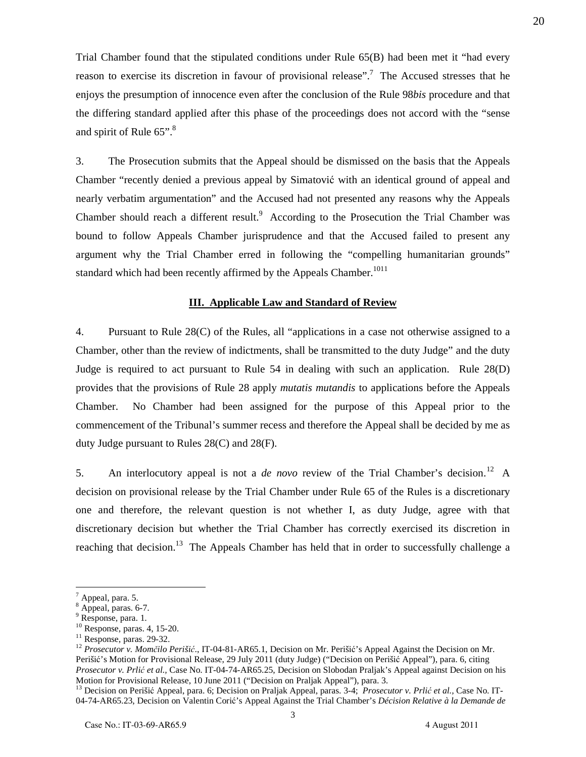Trial Chamber found that the stipulated conditions under Rule 65(B) had been met it "had every reason to exercise its discretion in favour of provisional release".<sup>7</sup> The Accused stresses that he enjoys the presumption of innocence even after the conclusion of the Rule 98*bis* procedure and that the differing standard applied after this phase of the proceedings does not accord with the "sense and spirit of Rule  $65$ ".<sup>8</sup>

3. The Prosecution submits that the Appeal should be dismissed on the basis that the Appeals Chamber "recently denied a previous appeal by Simatović with an identical ground of appeal and nearly verbatim argumentation" and the Accused had not presented any reasons why the Appeals Chamber should reach a different result. $9$  According to the Prosecution the Trial Chamber was bound to follow Appeals Chamber jurisprudence and that the Accused failed to present any argument why the Trial Chamber erred in following the "compelling humanitarian grounds" standard which had been recently affirmed by the Appeals Chamber.<sup>1011</sup>

### **III. Applicable Law and Standard of Review**

4. Pursuant to Rule 28(C) of the Rules, all "applications in a case not otherwise assigned to a Chamber, other than the review of indictments, shall be transmitted to the duty Judge" and the duty Judge is required to act pursuant to Rule 54 in dealing with such an application. Rule 28(D) provides that the provisions of Rule 28 apply *mutatis mutandis* to applications before the Appeals Chamber. No Chamber had been assigned for the purpose of this Appeal prior to the commencement of the Tribunal's summer recess and therefore the Appeal shall be decided by me as duty Judge pursuant to Rules 28(C) and 28(F).

5. An interlocutory appeal is not a *de novo* review of the Trial Chamber's decision.<sup>12</sup> A decision on provisional release by the Trial Chamber under Rule 65 of the Rules is a discretionary one and therefore, the relevant question is not whether I, as duty Judge, agree with that discretionary decision but whether the Trial Chamber has correctly exercised its discretion in reaching that decision.<sup>13</sup> The Appeals Chamber has held that in order to successfully challenge a

<sup>7</sup> Appeal, para. 5.

<sup>8</sup> Appeal, paras. 6-7.

<sup>&</sup>lt;sup>9</sup> Response, para. 1.

<sup>10</sup> Response, paras. 4, 15-20.

<sup>&</sup>lt;sup>11</sup> Response, paras. 29-32.

<sup>&</sup>lt;sup>12</sup> Prosecutor v. Momčilo Perišić., IT-04-81-AR65.1, Decision on Mr. Perišić's Appeal Against the Decision on Mr. Perišić's Motion for Provisional Release, 29 July 2011 (duty Judge) ("Decision on Perišić Appeal"), para. 6, citing *Prosecutor v. Prli*ć *et al.,* Case No. IT-04-74-AR65.25, Decision on Slobodan Praljak's Appeal against Decision on his Motion for Provisional Release, 10 June 2011 ("Decision on Praljak Appeal"), para. 3.

<sup>13</sup> Decision on Perišić Appeal, para. 6; Decision on Praljak Appeal, paras. 3-4; *Prosecutor v. Prli*ć *et al.,* Case No. IT-04-74-AR65.23, Decision on Valentin Corić's Appeal Against the Trial Chamber's *Décision Relative à la Demande de*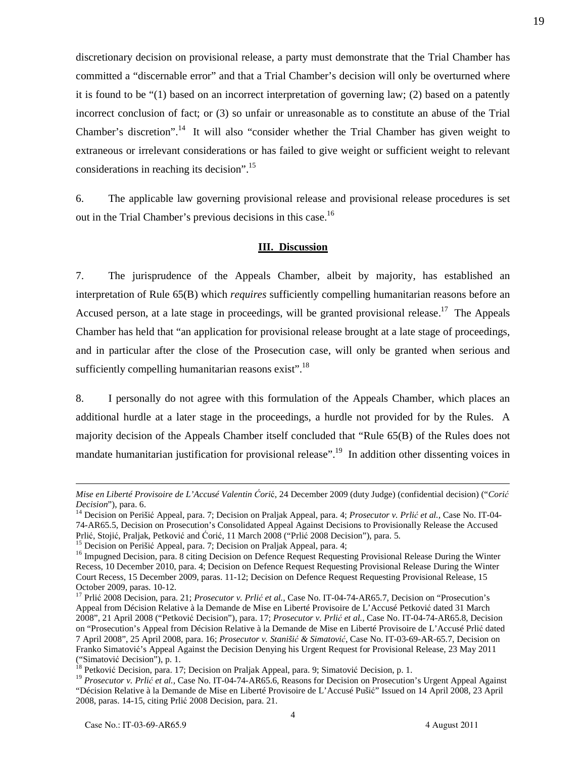discretionary decision on provisional release, a party must demonstrate that the Trial Chamber has committed a "discernable error" and that a Trial Chamber's decision will only be overturned where it is found to be "(1) based on an incorrect interpretation of governing law; (2) based on a patently incorrect conclusion of fact; or (3) so unfair or unreasonable as to constitute an abuse of the Trial Chamber's discretion".<sup>14</sup> It will also "consider whether the Trial Chamber has given weight to extraneous or irrelevant considerations or has failed to give weight or sufficient weight to relevant considerations in reaching its decision".<sup>15</sup>

6. The applicable law governing provisional release and provisional release procedures is set out in the Trial Chamber's previous decisions in this case.<sup>16</sup>

## **III. Discussion**

7. The jurisprudence of the Appeals Chamber, albeit by majority, has established an interpretation of Rule 65(B) which *requires* sufficiently compelling humanitarian reasons before an Accused person, at a late stage in proceedings, will be granted provisional release.<sup>17</sup> The Appeals Chamber has held that "an application for provisional release brought at a late stage of proceedings, and in particular after the close of the Prosecution case, will only be granted when serious and sufficiently compelling humanitarian reasons exist".<sup>18</sup>

8. I personally do not agree with this formulation of the Appeals Chamber, which places an additional hurdle at a later stage in the proceedings, a hurdle not provided for by the Rules. A majority decision of the Appeals Chamber itself concluded that "Rule 65(B) of the Rules does not mandate humanitarian justification for provisional release".<sup>19</sup> In addition other dissenting voices in

*Mise en Liberté Provisoire de L'Accusé Valentin* Ć*ori*ć, 24 December 2009 (duty Judge) (confidential decision) ("*Cori*ć *Decision*"), para. 6.

<sup>14</sup> Decision on Perišić Appeal, para. 7; Decision on Praljak Appeal, para. 4; *Prosecutor v. Prli*ć *et al.,* Case No. IT-04- 74-AR65.5, Decision on Prosecution's Consolidated Appeal Against Decisions to Provisionally Release the Accused Prlić, Stojić, Praljak, Petković and Ćorić, 11 March 2008 ("Prlić 2008 Decision"), para. 5.

<sup>&</sup>lt;sup>15</sup> Decision on Perišić Appeal, para. 7; Decision on Praljak Appeal, para. 4;

<sup>&</sup>lt;sup>16</sup> Impugned Decision, para. 8 citing Decision on Defence Request Requesting Provisional Release During the Winter Recess, 10 December 2010, para. 4; Decision on Defence Request Requesting Provisional Release During the Winter Court Recess, 15 December 2009, paras. 11-12; Decision on Defence Request Requesting Provisional Release, 15 October 2009, paras. 10-12.

<sup>&</sup>lt;sup>17</sup> Prlić 2008 Decision, para. 21; *Prosecutor v. Prlić et al.*, Case No. IT-04-74-AR65.7, Decision on "Prosecution's Appeal from Décision Relative à la Demande de Mise en Liberté Provisoire de L'Accusé Petković dated 31 March 2008", 21 April 2008 ("Petković Decision"), para. 17; *Prosecutor v. Prli*ć *et al.,* Case No. IT-04-74-AR65.8, Decision on "Prosecution's Appeal from Décision Relative à la Demande de Mise en Liberté Provisoire de L'Accusé Prlić dated 7 April 2008", 25 April 2008, para. 16; *Prosecutor v. Staniši*ć *& Simatovi*ć, Case No. IT-03-69-AR-65.7, Decision on Franko Simatović's Appeal Against the Decision Denying his Urgent Request for Provisional Release, 23 May 2011 ("Simatović Decision"), p. 1.

<sup>&</sup>lt;sup>18</sup> Petković Decision, para. 17; Decision on Praljak Appeal, para. 9; Simatović Decision, p. 1.

<sup>&</sup>lt;sup>19</sup> *Prosecutor v. Prlić et al.*, Case No. IT-04-74-AR65.6, Reasons for Decision on Prosecution's Urgent Appeal Against "Décision Relative à la Demande de Mise en Liberté Provisoire de L'Accusé Pušić" Issued on 14 April 2008, 23 April 2008, paras. 14-15, citing Prlić 2008 Decision, para. 21.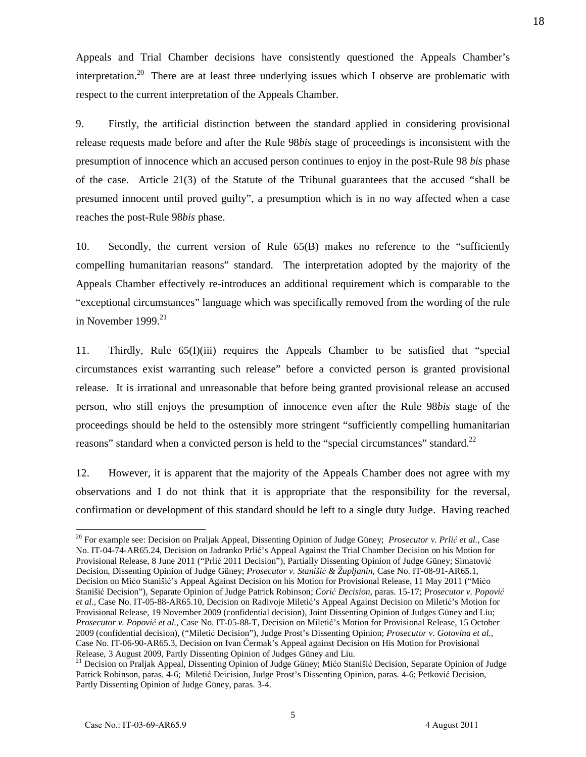Appeals and Trial Chamber decisions have consistently questioned the Appeals Chamber's interpretation.<sup>20</sup> There are at least three underlying issues which I observe are problematic with respect to the current interpretation of the Appeals Chamber.

9. Firstly, the artificial distinction between the standard applied in considering provisional release requests made before and after the Rule 98*bis* stage of proceedings is inconsistent with the presumption of innocence which an accused person continues to enjoy in the post-Rule 98 *bis* phase of the case. Article 21(3) of the Statute of the Tribunal guarantees that the accused "shall be presumed innocent until proved guilty", a presumption which is in no way affected when a case reaches the post-Rule 98*bis* phase.

10. Secondly, the current version of Rule 65(B) makes no reference to the "sufficiently compelling humanitarian reasons" standard. The interpretation adopted by the majority of the Appeals Chamber effectively re-introduces an additional requirement which is comparable to the "exceptional circumstances" language which was specifically removed from the wording of the rule in November 1999. $21$ 

11. Thirdly, Rule 65(I)(iii) requires the Appeals Chamber to be satisfied that "special circumstances exist warranting such release" before a convicted person is granted provisional release. It is irrational and unreasonable that before being granted provisional release an accused person, who still enjoys the presumption of innocence even after the Rule 98*bis* stage of the proceedings should be held to the ostensibly more stringent "sufficiently compelling humanitarian reasons" standard when a convicted person is held to the "special circumstances" standard.<sup>22</sup>

12. However, it is apparent that the majority of the Appeals Chamber does not agree with my observations and I do not think that it is appropriate that the responsibility for the reversal, confirmation or development of this standard should be left to a single duty Judge. Having reached

<sup>20</sup> For example see: Decision on Praljak Appeal, Dissenting Opinion of Judge Güney; *Prosecutor v. Prli*ć *et al.,* Case No. IT-04-74-AR65.24, Decision on Jadranko Prlić's Appeal Against the Trial Chamber Decision on his Motion for Provisional Release, 8 June 2011 ("Prlić 2011 Decision"), Partially Dissenting Opinion of Judge Güney; Simatović Decision, Dissenting Opinion of Judge Güney; *Prosecutor v. Staniši*ć *& Župljanin*, Case No. IT-08-91-AR65.1, Decision on Mićo Stanišić's Appeal Against Decision on his Motion for Provisional Release, 11 May 2011 ("Mićo Stanišić Decision"), Separate Opinion of Judge Patrick Robinson; *Cori*ć *Decision*, paras. 15-17; *Prosecutor v. Popovi*ć *et al.,* Case No. IT-05-88-AR65.10, Decision on Radivoje Miletić's Appeal Against Decision on Miletić's Motion for Provisional Release, 19 November 2009 (confidential decision), Joint Dissenting Opinion of Judges Güney and Liu; *Prosecutor v. Popovi*ć *et al.,* Case No. IT-05-88-T, Decision on Miletić's Motion for Provisional Release, 15 October 2009 (confidential decision), ("Miletić Decision"), Judge Prost's Dissenting Opinion; *Prosecutor v. Gotovina et al.,* Case No. IT-06-90-AR65.3, Decision on Ivan Čermak's Appeal against Decision on His Motion for Provisional Release, 3 August 2009, Partly Dissenting Opinion of Judges Güney and Liu.

<sup>&</sup>lt;sup>21</sup> Decision on Praljak Appeal, Dissenting Opinion of Judge Güney; Mićo Stanišić Decision, Separate Opinion of Judge Patrick Robinson, paras. 4-6; Miletić Deicision, Judge Prost's Dissenting Opinion, paras. 4-6; Petković Decision, Partly Dissenting Opinion of Judge Güney, paras. 3-4.